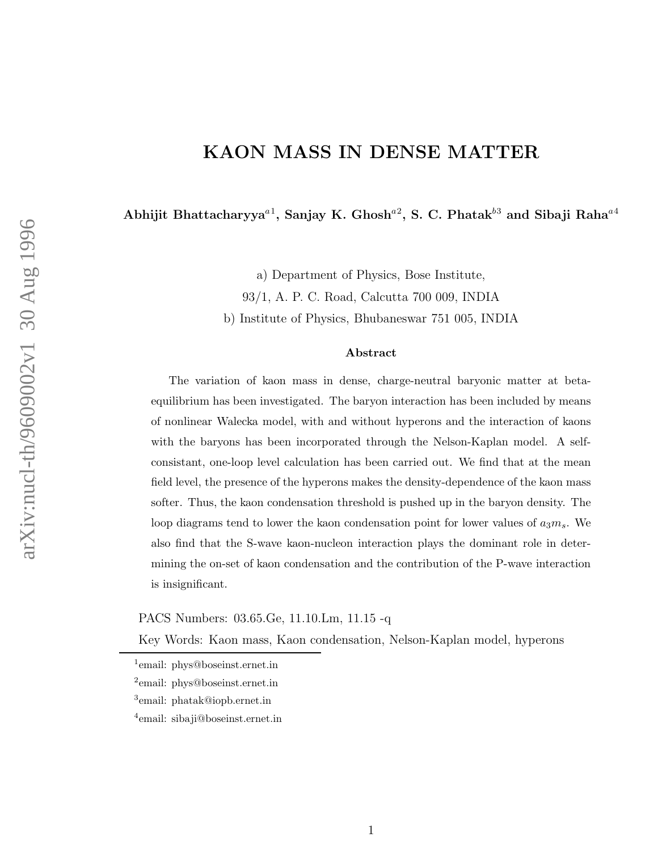## KAON MASS IN DENSE MATTER

Abhijit Bhattacharyya<sup>a1</sup>, Sanjay K. Ghosh<sup>a2</sup>, S. C. Phatak<sup>53</sup> and Sibaji Raha<sup>a4</sup>

a) Department of Physics, Bose Institute,

93/1, A. P. C. Road, Calcutta 700 009, INDIA

b) Institute of Physics, Bhubaneswar 751 005, INDIA

## Abstract

The variation of kaon mass in dense, charge-neutral baryonic matter at betaequilibrium has been investigated. The baryon interaction has been included by means of nonlinear Walecka model, with and without hyperons and the interaction of kaons with the baryons has been incorporated through the Nelson-Kaplan model. A selfconsistant, one-loop level calculation has been carried out. We find that at the mean field level, the presence of the hyperons makes the density-dependence of the kaon mass softer. Thus, the kaon condensation threshold is pushed up in the baryon density. The loop diagrams tend to lower the kaon condensation point for lower values of  $a_3m_s$ . We also find that the S-wave kaon-nucleon interaction plays the dominant role in determining the on-set of kaon condensation and the contribution of the P-wave interaction is insignificant.

PACS Numbers: 03.65.Ge, 11.10.Lm, 11.15 -q

Key Words: Kaon mass, Kaon condensation, Nelson-Kaplan model, hyperons

<sup>&</sup>lt;sup>1</sup>email: phys@boseinst.ernet.in

<sup>2</sup> email: phys@boseinst.ernet.in

<sup>3</sup> email: phatak@iopb.ernet.in

<sup>4</sup> email: sibaji@boseinst.ernet.in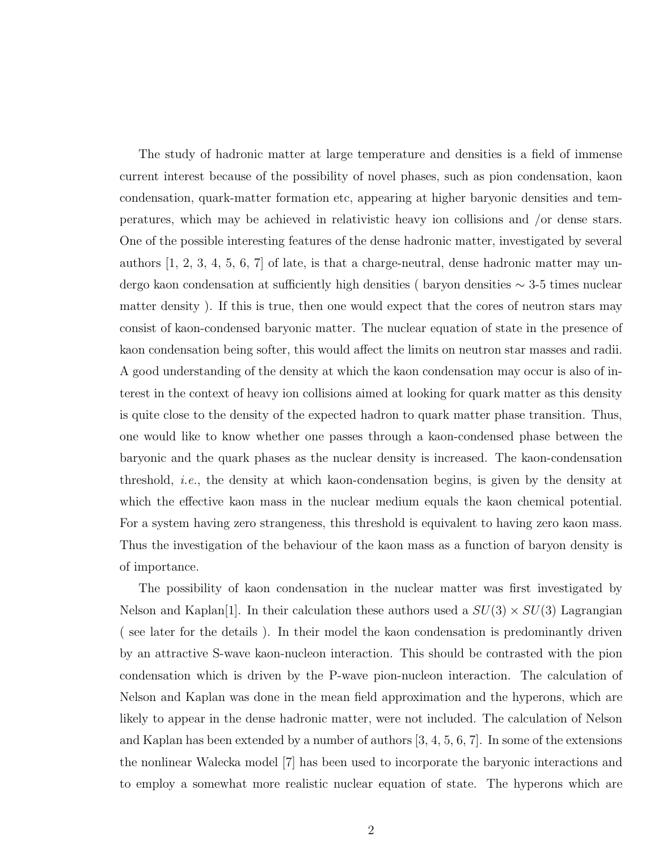The study of hadronic matter at large temperature and densities is a field of immense current interest because of the possibility of novel phases, such as pion condensation, kaon condensation, quark-matter formation etc, appearing at higher baryonic densities and temperatures, which may be achieved in relativistic heavy ion collisions and /or dense stars. One of the possible interesting features of the dense hadronic matter, investigated by several authors [1, 2, 3, 4, 5, 6, 7] of late, is that a charge-neutral, dense hadronic matter may undergo kaon condensation at sufficiently high densities ( baryon densities ∼ 3-5 times nuclear matter density ). If this is true, then one would expect that the cores of neutron stars may consist of kaon-condensed baryonic matter. The nuclear equation of state in the presence of kaon condensation being softer, this would affect the limits on neutron star masses and radii. A good understanding of the density at which the kaon condensation may occur is also of interest in the context of heavy ion collisions aimed at looking for quark matter as this density is quite close to the density of the expected hadron to quark matter phase transition. Thus, one would like to know whether one passes through a kaon-condensed phase between the baryonic and the quark phases as the nuclear density is increased. The kaon-condensation threshold, i.e., the density at which kaon-condensation begins, is given by the density at which the effective kaon mass in the nuclear medium equals the kaon chemical potential. For a system having zero strangeness, this threshold is equivalent to having zero kaon mass. Thus the investigation of the behaviour of the kaon mass as a function of baryon density is of importance.

The possibility of kaon condensation in the nuclear matter was first investigated by Nelson and Kaplan<sup>[1]</sup>. In their calculation these authors used a  $SU(3) \times SU(3)$  Lagrangian ( see later for the details ). In their model the kaon condensation is predominantly driven by an attractive S-wave kaon-nucleon interaction. This should be contrasted with the pion condensation which is driven by the P-wave pion-nucleon interaction. The calculation of Nelson and Kaplan was done in the mean field approximation and the hyperons, which are likely to appear in the dense hadronic matter, were not included. The calculation of Nelson and Kaplan has been extended by a number of authors [3, 4, 5, 6, 7]. In some of the extensions the nonlinear Walecka model [7] has been used to incorporate the baryonic interactions and to employ a somewhat more realistic nuclear equation of state. The hyperons which are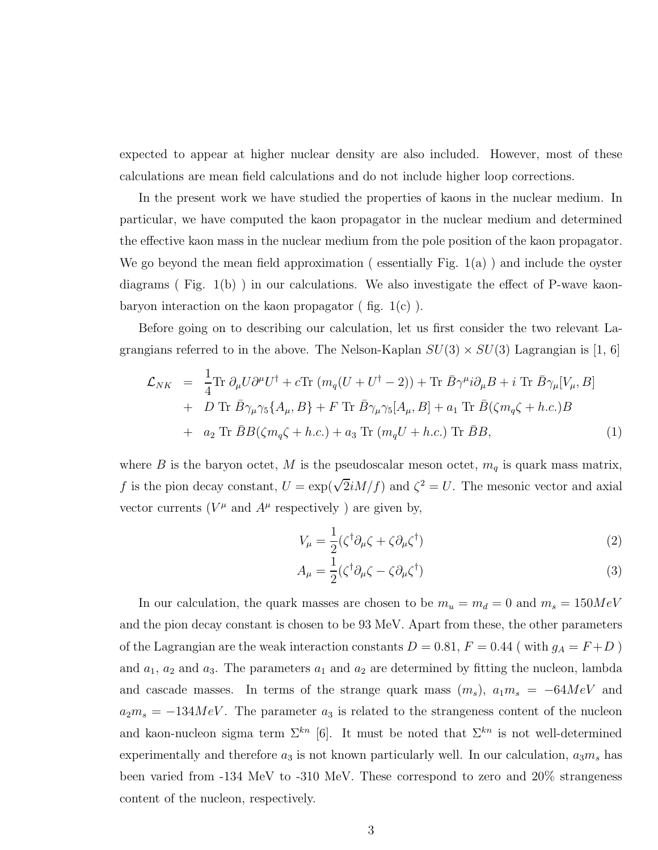expected to appear at higher nuclear density are also included. However, most of these calculations are mean field calculations and do not include higher loop corrections.

In the present work we have studied the properties of kaons in the nuclear medium. In particular, we have computed the kaon propagator in the nuclear medium and determined the effective kaon mass in the nuclear medium from the pole position of the kaon propagator. We go beyond the mean field approximation ( essentially Fig. 1(a) ) and include the oyster diagrams ( Fig. 1(b) ) in our calculations. We also investigate the effect of P-wave kaonbaryon interaction on the kaon propagator  $($  fig.  $1(c)$   $).$ 

Before going on to describing our calculation, let us first consider the two relevant Lagrangians referred to in the above. The Nelson-Kaplan  $SU(3) \times SU(3)$  Lagrangian is [1, 6]

$$
\mathcal{L}_{NK} = \frac{1}{4} \text{Tr } \partial_{\mu} U \partial^{\mu} U^{\dagger} + c \text{Tr } (m_q (U + U^{\dagger} - 2)) + \text{Tr } \bar{B} \gamma^{\mu} i \partial_{\mu} B + i \text{ Tr } \bar{B} \gamma_{\mu} [V_{\mu}, B] \n+ D \text{Tr } \bar{B} \gamma_{\mu} \gamma_5 \{A_{\mu}, B\} + F \text{Tr } \bar{B} \gamma_{\mu} \gamma_5 [A_{\mu}, B] + a_1 \text{Tr } \bar{B} (\zeta m_q \zeta + h.c.)B \n+ a_2 \text{Tr } \bar{B} B (\zeta m_q \zeta + h.c.) + a_3 \text{Tr } (m_q U + h.c.) \text{Tr } \bar{B} B,
$$
\n(1)

where  $B$  is the baryon octet,  $M$  is the pseudoscalar meson octet,  $m_q$  is quark mass matrix, f is the pion decay constant,  $U = \exp(\sqrt{2}iM/f)$  and  $\zeta^2 = U$ . The mesonic vector and axial vector currents ( $V^{\mu}$  and  $A^{\mu}$  respectively) are given by,

$$
V_{\mu} = \frac{1}{2} (\zeta^{\dagger} \partial_{\mu} \zeta + \zeta \partial_{\mu} \zeta^{\dagger})
$$
\n(2)

$$
A_{\mu} = \frac{1}{2} (\zeta^{\dagger} \partial_{\mu} \zeta - \zeta \partial_{\mu} \zeta^{\dagger}) \tag{3}
$$

In our calculation, the quark masses are chosen to be  $m_u = m_d = 0$  and  $m_s = 150 MeV$ and the pion decay constant is chosen to be 93 MeV. Apart from these, the other parameters of the Lagrangian are the weak interaction constants  $D = 0.81, F = 0.44$  (with  $g_A = F + D$ ) and  $a_1$ ,  $a_2$  and  $a_3$ . The parameters  $a_1$  and  $a_2$  are determined by fitting the nucleon, lambda and cascade masses. In terms of the strange quark mass  $(m_s)$ ,  $a_1m_s = -64MeV$  and  $a_2m_s = -134 MeV$ . The parameter  $a_3$  is related to the strangeness content of the nucleon and kaon-nucleon sigma term  $\Sigma^{kn}$  [6]. It must be noted that  $\Sigma^{kn}$  is not well-determined experimentally and therefore  $a_3$  is not known particularly well. In our calculation,  $a_3m_s$  has been varied from -134 MeV to -310 MeV. These correspond to zero and 20% strangeness content of the nucleon, respectively.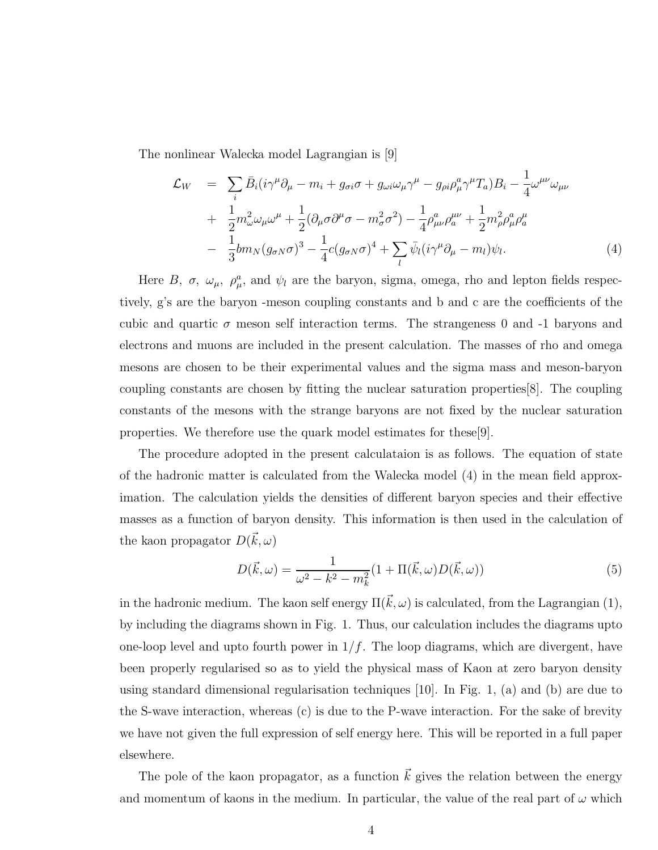The nonlinear Walecka model Lagrangian is [9]

$$
\mathcal{L}_W = \sum_i \bar{B}_i (i\gamma^\mu \partial_\mu - m_i + g_{\sigma i} \sigma + g_{\omega i} \omega_\mu \gamma^\mu - g_{\rho i} \rho_\mu^a \gamma^\mu T_a) B_i - \frac{1}{4} \omega^{\mu \nu} \omega_{\mu \nu} \n+ \frac{1}{2} m_\omega^2 \omega_\mu \omega^\mu + \frac{1}{2} (\partial_\mu \sigma \partial^\mu \sigma - m_\sigma^2 \sigma^2) - \frac{1}{4} \rho_{\mu \nu}^a \rho_a^{\mu \nu} + \frac{1}{2} m_\rho^2 \rho_\mu^a \rho_a^{\mu} \n- \frac{1}{3} b m_N (g_{\sigma N} \sigma)^3 - \frac{1}{4} c (g_{\sigma N} \sigma)^4 + \sum_l \bar{\psi}_l (i \gamma^\mu \partial_\mu - m_l) \psi_l.
$$
\n(4)

Here B,  $\sigma$ ,  $\omega_{\mu}$ ,  $\rho_{\mu}^{a}$ , and  $\psi_{l}$  are the baryon, sigma, omega, rho and lepton fields respectively, g's are the baryon -meson coupling constants and b and c are the coefficients of the cubic and quartic  $\sigma$  meson self interaction terms. The strangeness 0 and -1 baryons and electrons and muons are included in the present calculation. The masses of rho and omega mesons are chosen to be their experimental values and the sigma mass and meson-baryon coupling constants are chosen by fitting the nuclear saturation properties[8]. The coupling constants of the mesons with the strange baryons are not fixed by the nuclear saturation properties. We therefore use the quark model estimates for these[9].

The procedure adopted in the present calculataion is as follows. The equation of state of the hadronic matter is calculated from the Walecka model (4) in the mean field approximation. The calculation yields the densities of different baryon species and their effective masses as a function of baryon density. This information is then used in the calculation of the kaon propagator  $D(\vec{k}, \omega)$ 

$$
D(\vec{k}, \omega) = \frac{1}{\omega^2 - k^2 - m_k^2} (1 + \Pi(\vec{k}, \omega) D(\vec{k}, \omega))
$$
(5)

in the hadronic medium. The kaon self energy  $\Pi(\vec{k}, \omega)$  is calculated, from the Lagrangian (1), by including the diagrams shown in Fig. 1. Thus, our calculation includes the diagrams upto one-loop level and upto fourth power in  $1/f$ . The loop diagrams, which are divergent, have been properly regularised so as to yield the physical mass of Kaon at zero baryon density using standard dimensional regularisation techniques [10]. In Fig. 1, (a) and (b) are due to the S-wave interaction, whereas (c) is due to the P-wave interaction. For the sake of brevity we have not given the full expression of self energy here. This will be reported in a full paper elsewhere.

The pole of the kaon propagator, as a function  $\vec{k}$  gives the relation between the energy and momentum of kaons in the medium. In particular, the value of the real part of  $\omega$  which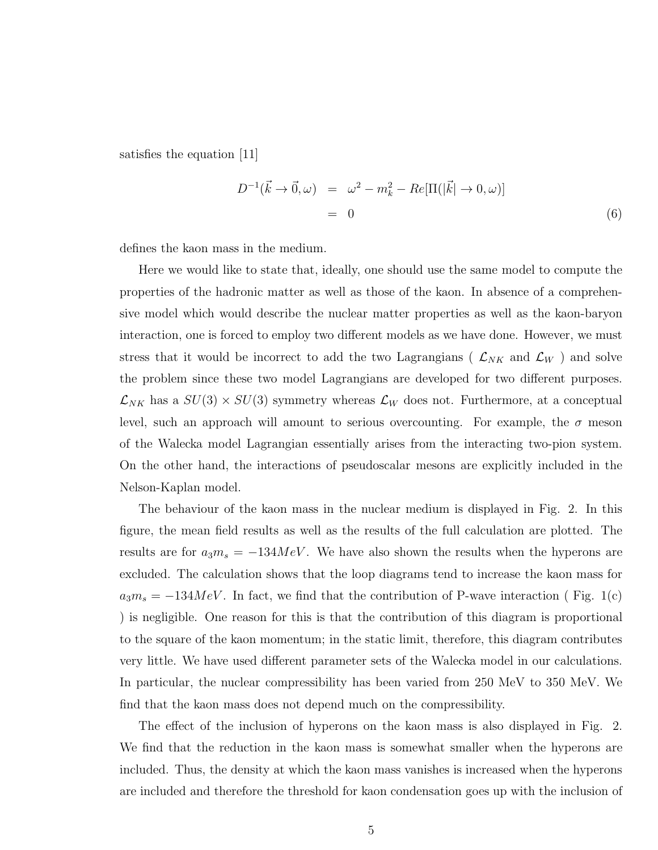satisfies the equation [11]

$$
D^{-1}(\vec{k} \to \vec{0}, \omega) = \omega^2 - m_k^2 - Re[\Pi(|\vec{k}| \to 0, \omega)]
$$
  
= 0 (6)

defines the kaon mass in the medium.

Here we would like to state that, ideally, one should use the same model to compute the properties of the hadronic matter as well as those of the kaon. In absence of a comprehensive model which would describe the nuclear matter properties as well as the kaon-baryon interaction, one is forced to employ two different models as we have done. However, we must stress that it would be incorrect to add the two Lagrangians ( $\mathcal{L}_{NK}$  and  $\mathcal{L}_{W}$ ) and solve the problem since these two model Lagrangians are developed for two different purposes.  $\mathcal{L}_{NK}$  has a  $SU(3) \times SU(3)$  symmetry whereas  $\mathcal{L}_W$  does not. Furthermore, at a conceptual level, such an approach will amount to serious overcounting. For example, the  $\sigma$  meson of the Walecka model Lagrangian essentially arises from the interacting two-pion system. On the other hand, the interactions of pseudoscalar mesons are explicitly included in the Nelson-Kaplan model.

The behaviour of the kaon mass in the nuclear medium is displayed in Fig. 2. In this figure, the mean field results as well as the results of the full calculation are plotted. The results are for  $a_3m_s = -134 MeV$ . We have also shown the results when the hyperons are excluded. The calculation shows that the loop diagrams tend to increase the kaon mass for  $a_3m_s = -134 MeV$ . In fact, we find that the contribution of P-wave interaction (Fig. 1(c) ) is negligible. One reason for this is that the contribution of this diagram is proportional to the square of the kaon momentum; in the static limit, therefore, this diagram contributes very little. We have used different parameter sets of the Walecka model in our calculations. In particular, the nuclear compressibility has been varied from 250 MeV to 350 MeV. We find that the kaon mass does not depend much on the compressibility.

The effect of the inclusion of hyperons on the kaon mass is also displayed in Fig. 2. We find that the reduction in the kaon mass is somewhat smaller when the hyperons are included. Thus, the density at which the kaon mass vanishes is increased when the hyperons are included and therefore the threshold for kaon condensation goes up with the inclusion of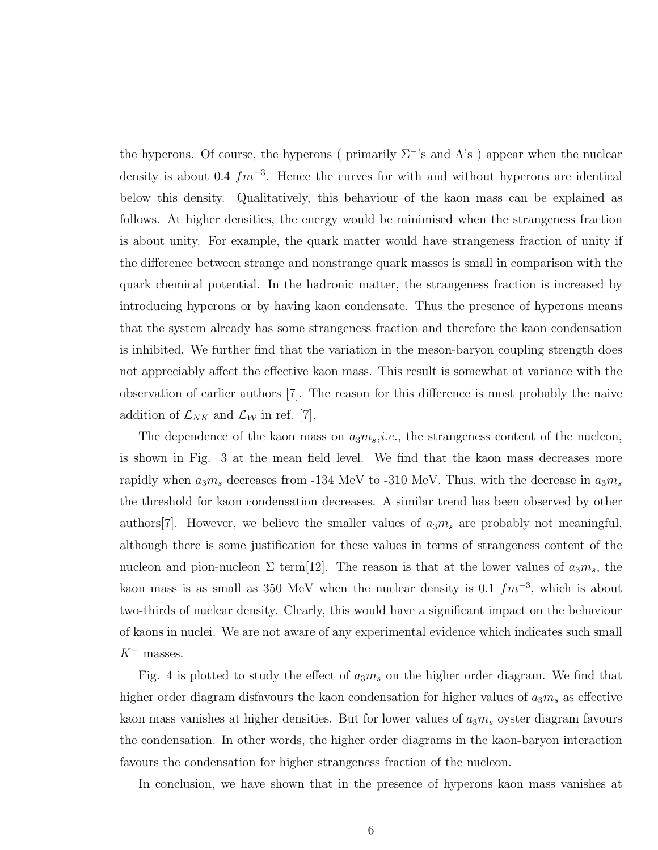the hyperons. Of course, the hyperons ( primarily  $\Sigma^{-1}$ 's and  $\Lambda$ 's ) appear when the nuclear density is about 0.4  $fm^{-3}$ . Hence the curves for with and without hyperons are identical below this density. Qualitatively, this behaviour of the kaon mass can be explained as follows. At higher densities, the energy would be minimised when the strangeness fraction is about unity. For example, the quark matter would have strangeness fraction of unity if the difference between strange and nonstrange quark masses is small in comparison with the quark chemical potential. In the hadronic matter, the strangeness fraction is increased by introducing hyperons or by having kaon condensate. Thus the presence of hyperons means that the system already has some strangeness fraction and therefore the kaon condensation is inhibited. We further find that the variation in the meson-baryon coupling strength does not appreciably affect the effective kaon mass. This result is somewhat at variance with the observation of earlier authors [7]. The reason for this difference is most probably the naive addition of  $\mathcal{L}_{NK}$  and  $\mathcal{L}_{\mathcal{W}}$  in ref. [7].

The dependence of the kaon mass on  $a_3m_s$ , *i.e.*, the strangeness content of the nucleon, is shown in Fig. 3 at the mean field level. We find that the kaon mass decreases more rapidly when  $a_3m_s$  decreases from -134 MeV to -310 MeV. Thus, with the decrease in  $a_3m_s$ the threshold for kaon condensation decreases. A similar trend has been observed by other authors<sup>[7]</sup>. However, we believe the smaller values of  $a_3m_s$  are probably not meaningful, although there is some justification for these values in terms of strangeness content of the nucleon and pion-nucleon  $\Sigma$  term[12]. The reason is that at the lower values of  $a_3m_s$ , the kaon mass is as small as 350 MeV when the nuclear density is 0.1  $fm^{-3}$ , which is about two-thirds of nuclear density. Clearly, this would have a significant impact on the behaviour of kaons in nuclei. We are not aware of any experimental evidence which indicates such small  $K^-$  masses.

Fig. 4 is plotted to study the effect of  $a_3m_s$  on the higher order diagram. We find that higher order diagram disfavours the kaon condensation for higher values of  $a_3m_s$  as effective kaon mass vanishes at higher densities. But for lower values of  $a_3m_s$  oyster diagram favours the condensation. In other words, the higher order diagrams in the kaon-baryon interaction favours the condensation for higher strangeness fraction of the nucleon.

In conclusion, we have shown that in the presence of hyperons kaon mass vanishes at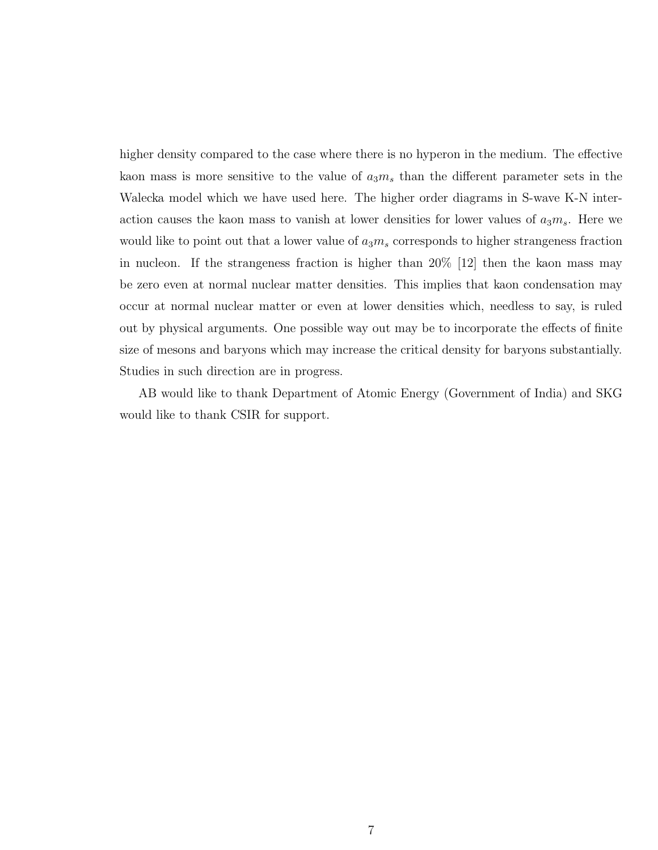higher density compared to the case where there is no hyperon in the medium. The effective kaon mass is more sensitive to the value of  $a_3m_s$  than the different parameter sets in the Walecka model which we have used here. The higher order diagrams in S-wave K-N interaction causes the kaon mass to vanish at lower densities for lower values of  $a_3m_s$ . Here we would like to point out that a lower value of  $a_3m_s$  corresponds to higher strangeness fraction in nucleon. If the strangeness fraction is higher than 20% [12] then the kaon mass may be zero even at normal nuclear matter densities. This implies that kaon condensation may occur at normal nuclear matter or even at lower densities which, needless to say, is ruled out by physical arguments. One possible way out may be to incorporate the effects of finite size of mesons and baryons which may increase the critical density for baryons substantially. Studies in such direction are in progress.

AB would like to thank Department of Atomic Energy (Government of India) and SKG would like to thank CSIR for support.